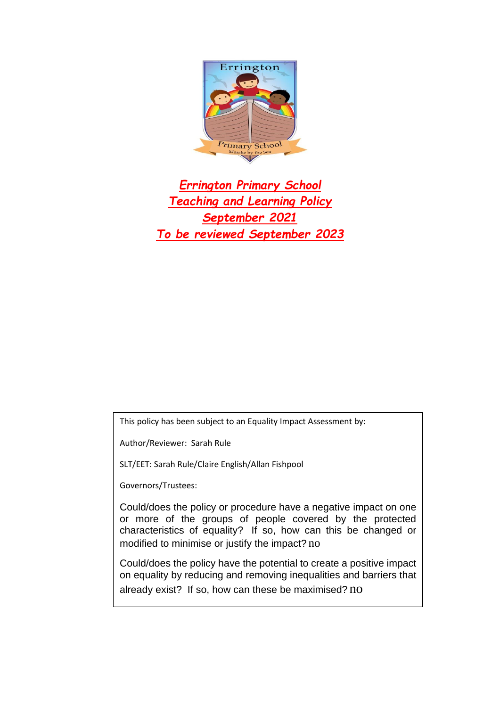

*Errington Primary School Teaching and Learning Policy September 2021 To be reviewed September 2023*

This policy has been subject to an Equality Impact Assessment by:

Author/Reviewer: Sarah Rule

SLT/EET: Sarah Rule/Claire English/Allan Fishpool

Governors/Trustees:

Could/does the policy or procedure have a negative impact on one or more of the groups of people covered by the protected characteristics of equality? If so, how can this be changed or modified to minimise or justify the impact? no

Could/does the policy have the potential to create a positive impact on equality by reducing and removing inequalities and barriers that already exist? If so, how can these be maximised? no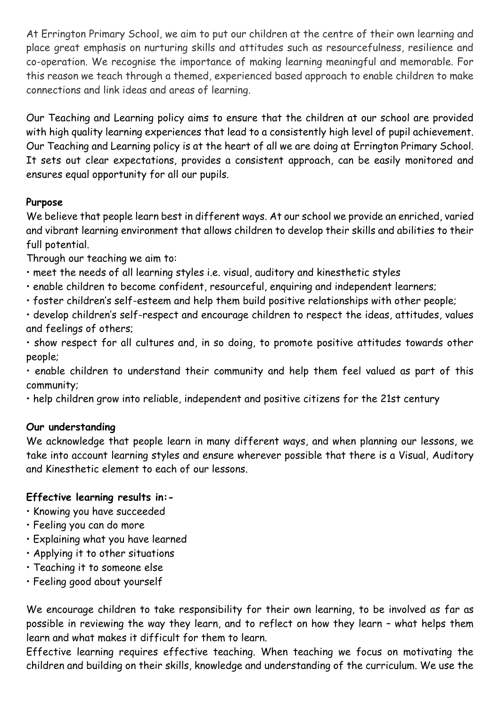At Errington Primary School, we aim to put our children at the centre of their own learning and place great emphasis on nurturing skills and attitudes such as resourcefulness, resilience and co-operation. We recognise the importance of making learning meaningful and memorable. For this reason we teach through a themed, experienced based approach to enable children to make connections and link ideas and areas of learning.

Our Teaching and Learning policy aims to ensure that the children at our school are provided with high quality learning experiences that lead to a consistently high level of pupil achievement. Our Teaching and Learning policy is at the heart of all we are doing at Errington Primary School. It sets out clear expectations, provides a consistent approach, can be easily monitored and ensures equal opportunity for all our pupils.

## **Purpose**

We believe that people learn best in different ways. At our school we provide an enriched, varied and vibrant learning environment that allows children to develop their skills and abilities to their full potential.

Through our teaching we aim to:

- meet the needs of all learning styles i.e. visual, auditory and kinesthetic styles
- enable children to become confident, resourceful, enquiring and independent learners;
- foster children's self-esteem and help them build positive relationships with other people;
- develop children's self-respect and encourage children to respect the ideas, attitudes, values and feelings of others;
- show respect for all cultures and, in so doing, to promote positive attitudes towards other people;
- enable children to understand their community and help them feel valued as part of this community;
- help children grow into reliable, independent and positive citizens for the 21st century

### **Our understanding**

We acknowledge that people learn in many different ways, and when planning our lessons, we take into account learning styles and ensure wherever possible that there is a Visual, Auditory and Kinesthetic element to each of our lessons.

## **Effective learning results in:-**

- Knowing you have succeeded
- Feeling you can do more
- Explaining what you have learned
- Applying it to other situations
- Teaching it to someone else
- Feeling good about yourself

We encourage children to take responsibility for their own learning, to be involved as far as possible in reviewing the way they learn, and to reflect on how they learn – what helps them learn and what makes it difficult for them to learn.

Effective learning requires effective teaching. When teaching we focus on motivating the children and building on their skills, knowledge and understanding of the curriculum. We use the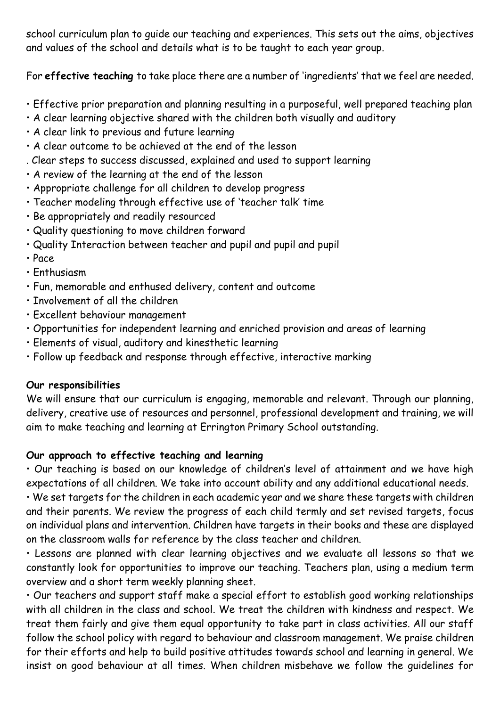school curriculum plan to guide our teaching and experiences. This sets out the aims, objectives and values of the school and details what is to be taught to each year group.

For **effective teaching** to take place there are a number of 'ingredients' that we feel are needed.

- Effective prior preparation and planning resulting in a purposeful, well prepared teaching plan
- A clear learning objective shared with the children both visually and auditory
- A clear link to previous and future learning
- A clear outcome to be achieved at the end of the lesson
- . Clear steps to success discussed, explained and used to support learning
- A review of the learning at the end of the lesson
- Appropriate challenge for all children to develop progress
- Teacher modeling through effective use of 'teacher talk' time
- Be appropriately and readily resourced
- Quality questioning to move children forward
- Quality Interaction between teacher and pupil and pupil and pupil
- Pace
- Enthusiasm
- Fun, memorable and enthused delivery, content and outcome
- Involvement of all the children
- Excellent behaviour management
- Opportunities for independent learning and enriched provision and areas of learning
- Elements of visual, auditory and kinesthetic learning
- Follow up feedback and response through effective, interactive marking

# **Our responsibilities**

We will ensure that our curriculum is engaging, memorable and relevant. Through our planning, delivery, creative use of resources and personnel, professional development and training, we will aim to make teaching and learning at Errington Primary School outstanding.

# **Our approach to effective teaching and learning**

• Our teaching is based on our knowledge of children's level of attainment and we have high expectations of all children. We take into account ability and any additional educational needs.

• We set targets for the children in each academic year and we share these targets with children and their parents. We review the progress of each child termly and set revised targets, focus on individual plans and intervention. Children have targets in their books and these are displayed on the classroom walls for reference by the class teacher and children.

• Lessons are planned with clear learning objectives and we evaluate all lessons so that we constantly look for opportunities to improve our teaching. Teachers plan, using a medium term overview and a short term weekly planning sheet.

• Our teachers and support staff make a special effort to establish good working relationships with all children in the class and school. We treat the children with kindness and respect. We treat them fairly and give them equal opportunity to take part in class activities. All our staff follow the school policy with regard to behaviour and classroom management. We praise children for their efforts and help to build positive attitudes towards school and learning in general. We insist on good behaviour at all times. When children misbehave we follow the guidelines for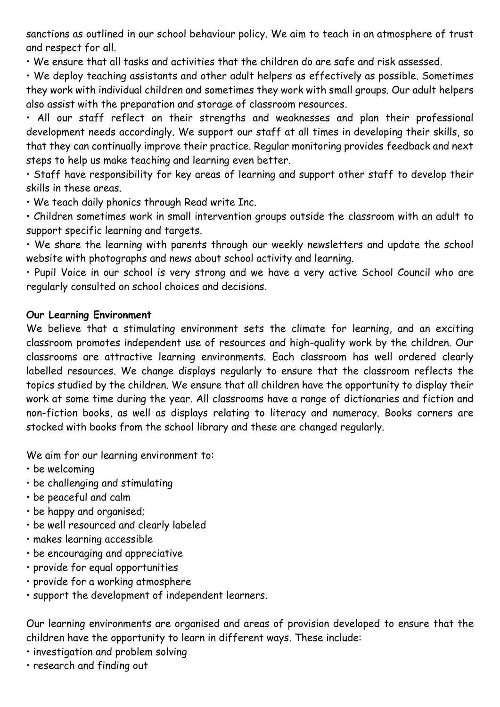sanctions as outlined in our school behaviour policy. We aim to teach in an atmosphere of trust and respect for all.

• We ensure that all tasks and activities that the children do are safe and risk assessed.

• We deploy teaching assistants and other adult helpers as effectively as possible. Sometimes they work with individual children and sometimes they work with small groups. Our adult helpers also assist with the preparation and storage of classroom resources.

• All our staff reflect on their strengths and weaknesses and plan their professional development needs accordingly. We support our staff at all times in developing their skills, so that they can continually improve their practice. Regular monitoring provides feedback and next steps to help us make teaching and learning even better.

• Staff have responsibility for key areas of learning and support other staff to develop their skills in these areas.

• We teach daily phonics through Read write Inc.

• Children sometimes work in small intervention groups outside the classroom with an adult to support specific learning and targets.

• We share the learning with parents through our weekly newsletters and update the school website with photographs and news about school activity and learning.

• Pupil Voice in our school is very strong and we have a very active School Council who are regularly consulted on school choices and decisions.

### **Our Learning Environment**

We believe that a stimulating environment sets the climate for learning, and an exciting classroom promotes independent use of resources and high-quality work by the children. Our classrooms are attractive learning environments. Each classroom has well ordered clearly labelled resources. We change displays regularly to ensure that the classroom reflects the topics studied by the children. We ensure that all children have the opportunity to display their work at some time during the year. All classrooms have a range of dictionaries and fiction and non-fiction books, as well as displays relating to literacy and numeracy. Books corners are stocked with books from the school library and these are changed regularly.

We aim for our learning environment to:

- be welcoming
- be challenging and stimulating
- be peaceful and calm
- be happy and organised;
- be well resourced and clearly labeled
- makes learning accessible
- be encouraging and appreciative
- provide for equal opportunities
- provide for a working atmosphere
- support the development of independent learners.

Our learning environments are organised and areas of provision developed to ensure that the children have the opportunity to learn in different ways. These include:

- investigation and problem solving
- research and finding out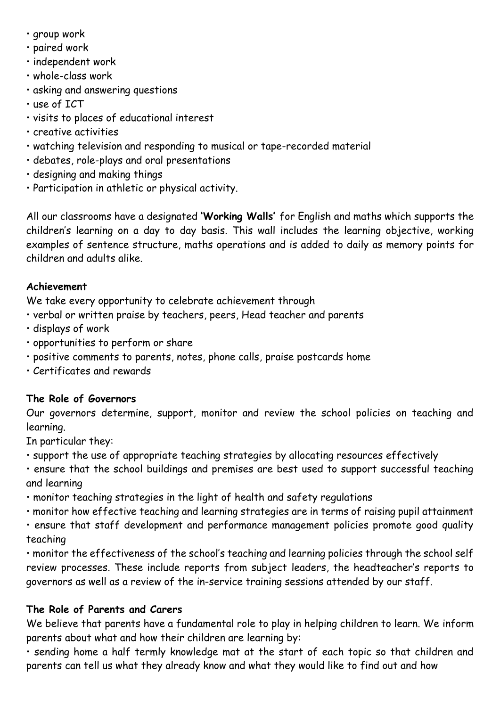- group work
- paired work
- independent work
- whole-class work
- asking and answering questions
- use of ICT
- visits to places of educational interest
- creative activities
- watching television and responding to musical or tape-recorded material
- debates, role-plays and oral presentations
- designing and making things
- Participation in athletic or physical activity.

All our classrooms have a designated **'Working Walls'** for English and maths which supports the children's learning on a day to day basis. This wall includes the learning objective, working examples of sentence structure, maths operations and is added to daily as memory points for children and adults alike.

## **Achievement**

We take every opportunity to celebrate achievement through

- verbal or written praise by teachers, peers, Head teacher and parents
- displays of work
- opportunities to perform or share
- positive comments to parents, notes, phone calls, praise postcards home
- Certificates and rewards

# **The Role of Governors**

Our governors determine, support, monitor and review the school policies on teaching and learning.

In particular they:

• support the use of appropriate teaching strategies by allocating resources effectively

• ensure that the school buildings and premises are best used to support successful teaching and learning

- monitor teaching strategies in the light of health and safety regulations
- monitor how effective teaching and learning strategies are in terms of raising pupil attainment
- ensure that staff development and performance management policies promote good quality teaching

• monitor the effectiveness of the school's teaching and learning policies through the school self review processes. These include reports from subject leaders, the headteacher's reports to governors as well as a review of the in-service training sessions attended by our staff.

# **The Role of Parents and Carers**

We believe that parents have a fundamental role to play in helping children to learn. We inform parents about what and how their children are learning by:

• sending home a half termly knowledge mat at the start of each topic so that children and parents can tell us what they already know and what they would like to find out and how